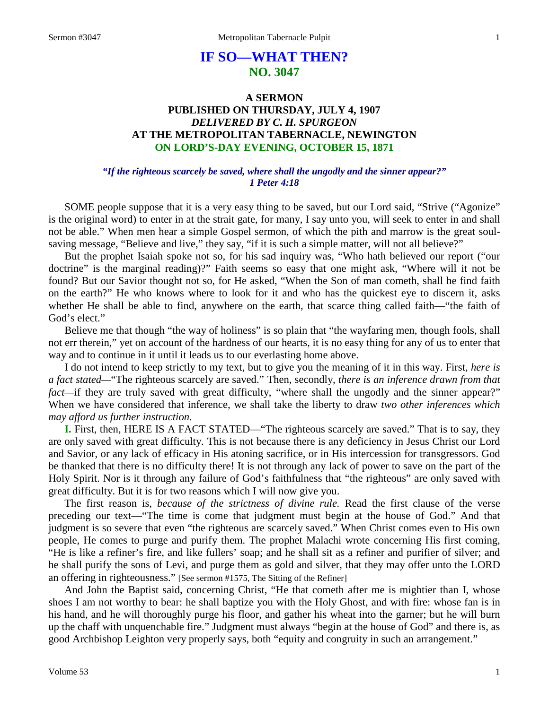# **IF SO—WHAT THEN? NO. 3047**

## **A SERMON PUBLISHED ON THURSDAY, JULY 4, 1907** *DELIVERED BY C. H. SPURGEON* **AT THE METROPOLITAN TABERNACLE, NEWINGTON ON LORD'S-DAY EVENING, OCTOBER 15, 1871**

## *"If the righteous scarcely be saved, where shall the ungodly and the sinner appear?" 1 Peter 4:18*

SOME people suppose that it is a very easy thing to be saved, but our Lord said, "Strive ("Agonize" is the original word) to enter in at the strait gate, for many, I say unto you, will seek to enter in and shall not be able." When men hear a simple Gospel sermon, of which the pith and marrow is the great soulsaving message, "Believe and live," they say, "if it is such a simple matter, will not all believe?"

But the prophet Isaiah spoke not so, for his sad inquiry was, "Who hath believed our report ("our doctrine" is the marginal reading)?" Faith seems so easy that one might ask, "Where will it not be found? But our Savior thought not so, for He asked, "When the Son of man cometh, shall he find faith on the earth?" He who knows where to look for it and who has the quickest eye to discern it, asks whether He shall be able to find, anywhere on the earth, that scarce thing called faith—"the faith of God's elect."

Believe me that though "the way of holiness" is so plain that "the wayfaring men, though fools, shall not err therein," yet on account of the hardness of our hearts, it is no easy thing for any of us to enter that way and to continue in it until it leads us to our everlasting home above.

I do not intend to keep strictly to my text, but to give you the meaning of it in this way. First, *here is a fact stated—*"The righteous scarcely are saved." Then, secondly, *there is an inference drawn from that fact*—if they are truly saved with great difficulty, "where shall the ungodly and the sinner appear?" When we have considered that inference, we shall take the liberty to draw *two other inferences which may afford us further instruction.* 

**I.** First, then, HERE IS A FACT STATED—"The righteous scarcely are saved." That is to say, they are only saved with great difficulty. This is not because there is any deficiency in Jesus Christ our Lord and Savior, or any lack of efficacy in His atoning sacrifice, or in His intercession for transgressors. God be thanked that there is no difficulty there! It is not through any lack of power to save on the part of the Holy Spirit. Nor is it through any failure of God's faithfulness that "the righteous" are only saved with great difficulty. But it is for two reasons which I will now give you.

The first reason is, *because of the strictness of divine rule.* Read the first clause of the verse preceding our text—"The time is come that judgment must begin at the house of God." And that judgment is so severe that even "the righteous are scarcely saved." When Christ comes even to His own people, He comes to purge and purify them. The prophet Malachi wrote concerning His first coming, "He is like a refiner's fire, and like fullers' soap; and he shall sit as a refiner and purifier of silver; and he shall purify the sons of Levi, and purge them as gold and silver, that they may offer unto the LORD an offering in righteousness." [See sermon #1575, The Sitting of the Refiner]

And John the Baptist said, concerning Christ, "He that cometh after me is mightier than I, whose shoes I am not worthy to bear: he shall baptize you with the Holy Ghost, and with fire: whose fan is in his hand, and he will thoroughly purge his floor, and gather his wheat into the garner; but he will burn up the chaff with unquenchable fire." Judgment must always "begin at the house of God" and there is, as good Archbishop Leighton very properly says, both "equity and congruity in such an arrangement."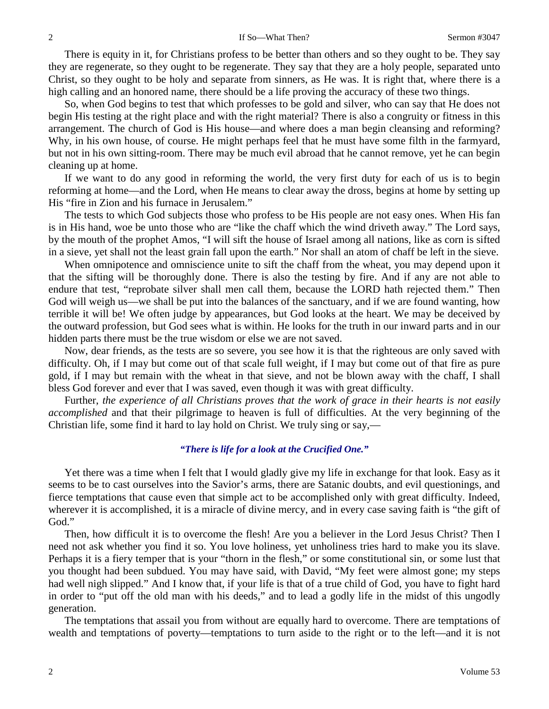There is equity in it, for Christians profess to be better than others and so they ought to be. They say they are regenerate, so they ought to be regenerate. They say that they are a holy people, separated unto Christ, so they ought to be holy and separate from sinners, as He was. It is right that, where there is a high calling and an honored name, there should be a life proving the accuracy of these two things.

So, when God begins to test that which professes to be gold and silver, who can say that He does not begin His testing at the right place and with the right material? There is also a congruity or fitness in this arrangement. The church of God is His house—and where does a man begin cleansing and reforming? Why, in his own house, of course. He might perhaps feel that he must have some filth in the farmyard, but not in his own sitting-room. There may be much evil abroad that he cannot remove, yet he can begin cleaning up at home.

If we want to do any good in reforming the world, the very first duty for each of us is to begin reforming at home—and the Lord, when He means to clear away the dross, begins at home by setting up His "fire in Zion and his furnace in Jerusalem."

The tests to which God subjects those who profess to be His people are not easy ones. When His fan is in His hand, woe be unto those who are "like the chaff which the wind driveth away." The Lord says, by the mouth of the prophet Amos, "I will sift the house of Israel among all nations, like as corn is sifted in a sieve, yet shall not the least grain fall upon the earth." Nor shall an atom of chaff be left in the sieve.

When omnipotence and omniscience unite to sift the chaff from the wheat, you may depend upon it that the sifting will be thoroughly done. There is also the testing by fire. And if any are not able to endure that test, "reprobate silver shall men call them, because the LORD hath rejected them." Then God will weigh us—we shall be put into the balances of the sanctuary, and if we are found wanting, how terrible it will be! We often judge by appearances, but God looks at the heart. We may be deceived by the outward profession, but God sees what is within. He looks for the truth in our inward parts and in our hidden parts there must be the true wisdom or else we are not saved.

Now, dear friends, as the tests are so severe, you see how it is that the righteous are only saved with difficulty. Oh, if I may but come out of that scale full weight, if I may but come out of that fire as pure gold, if I may but remain with the wheat in that sieve, and not be blown away with the chaff, I shall bless God forever and ever that I was saved, even though it was with great difficulty.

Further, *the experience of all Christians proves that the work of grace in their hearts is not easily accomplished* and that their pilgrimage to heaven is full of difficulties. At the very beginning of the Christian life, some find it hard to lay hold on Christ. We truly sing or say,—

## *"There is life for a look at the Crucified One."*

Yet there was a time when I felt that I would gladly give my life in exchange for that look. Easy as it seems to be to cast ourselves into the Savior's arms, there are Satanic doubts, and evil questionings, and fierce temptations that cause even that simple act to be accomplished only with great difficulty. Indeed, wherever it is accomplished, it is a miracle of divine mercy, and in every case saving faith is "the gift of God."

Then, how difficult it is to overcome the flesh! Are you a believer in the Lord Jesus Christ? Then I need not ask whether you find it so. You love holiness, yet unholiness tries hard to make you its slave. Perhaps it is a fiery temper that is your "thorn in the flesh," or some constitutional sin, or some lust that you thought had been subdued. You may have said, with David, "My feet were almost gone; my steps had well nigh slipped." And I know that, if your life is that of a true child of God, you have to fight hard in order to "put off the old man with his deeds," and to lead a godly life in the midst of this ungodly generation.

The temptations that assail you from without are equally hard to overcome. There are temptations of wealth and temptations of poverty—temptations to turn aside to the right or to the left—and it is not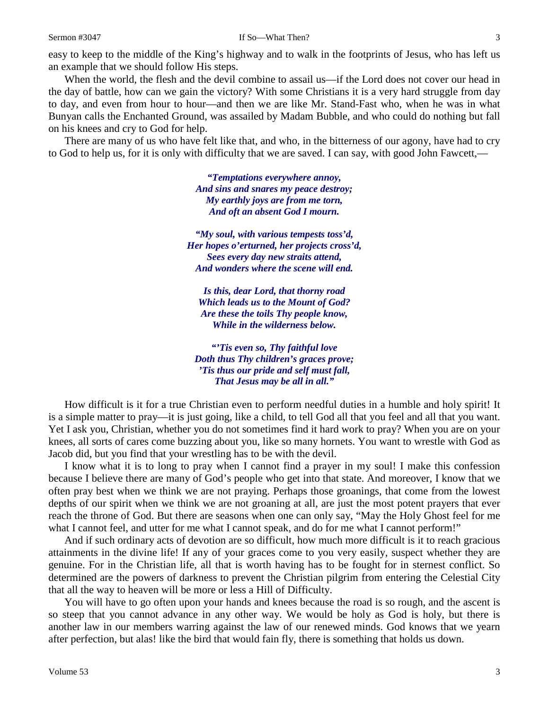easy to keep to the middle of the King's highway and to walk in the footprints of Jesus, who has left us an example that we should follow His steps.

When the world, the flesh and the devil combine to assail us—if the Lord does not cover our head in the day of battle, how can we gain the victory? With some Christians it is a very hard struggle from day to day, and even from hour to hour—and then we are like Mr. Stand-Fast who, when he was in what Bunyan calls the Enchanted Ground, was assailed by Madam Bubble, and who could do nothing but fall on his knees and cry to God for help.

There are many of us who have felt like that, and who, in the bitterness of our agony, have had to cry to God to help us, for it is only with difficulty that we are saved. I can say, with good John Fawcett,—

> *"Temptations everywhere annoy, And sins and snares my peace destroy; My earthly joys are from me torn, And oft an absent God I mourn.*

*"My soul, with various tempests toss'd, Her hopes o'erturned, her projects cross'd, Sees every day new straits attend, And wonders where the scene will end.*

*Is this, dear Lord, that thorny road Which leads us to the Mount of God? Are these the toils Thy people know, While in the wilderness below.*

*"'Tis even so, Thy faithful love Doth thus Thy children's graces prove; 'Tis thus our pride and self must fall, That Jesus may be all in all."*

How difficult is it for a true Christian even to perform needful duties in a humble and holy spirit! It is a simple matter to pray—it is just going, like a child, to tell God all that you feel and all that you want. Yet I ask you, Christian, whether you do not sometimes find it hard work to pray? When you are on your knees, all sorts of cares come buzzing about you, like so many hornets. You want to wrestle with God as Jacob did, but you find that your wrestling has to be with the devil.

I know what it is to long to pray when I cannot find a prayer in my soul! I make this confession because I believe there are many of God's people who get into that state. And moreover, I know that we often pray best when we think we are not praying. Perhaps those groanings, that come from the lowest depths of our spirit when we think we are not groaning at all, are just the most potent prayers that ever reach the throne of God. But there are seasons when one can only say, "May the Holy Ghost feel for me what I cannot feel, and utter for me what I cannot speak, and do for me what I cannot perform!"

And if such ordinary acts of devotion are so difficult, how much more difficult is it to reach gracious attainments in the divine life! If any of your graces come to you very easily, suspect whether they are genuine. For in the Christian life, all that is worth having has to be fought for in sternest conflict. So determined are the powers of darkness to prevent the Christian pilgrim from entering the Celestial City that all the way to heaven will be more or less a Hill of Difficulty.

You will have to go often upon your hands and knees because the road is so rough, and the ascent is so steep that you cannot advance in any other way. We would be holy as God is holy, but there is another law in our members warring against the law of our renewed minds. God knows that we yearn after perfection, but alas! like the bird that would fain fly, there is something that holds us down.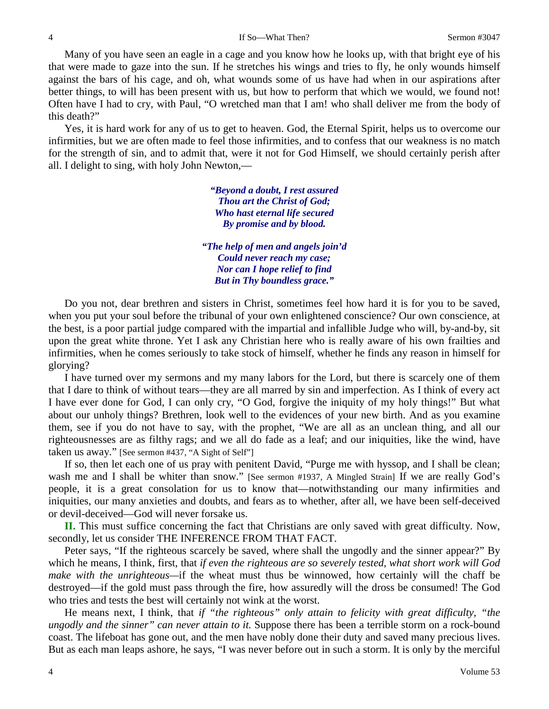Many of you have seen an eagle in a cage and you know how he looks up, with that bright eye of his that were made to gaze into the sun. If he stretches his wings and tries to fly, he only wounds himself against the bars of his cage, and oh, what wounds some of us have had when in our aspirations after better things, to will has been present with us, but how to perform that which we would, we found not! Often have I had to cry, with Paul, "O wretched man that I am! who shall deliver me from the body of this death?"

Yes, it is hard work for any of us to get to heaven. God, the Eternal Spirit, helps us to overcome our infirmities, but we are often made to feel those infirmities, and to confess that our weakness is no match for the strength of sin, and to admit that, were it not for God Himself, we should certainly perish after all. I delight to sing, with holy John Newton,—

> *"Beyond a doubt, I rest assured Thou art the Christ of God; Who hast eternal life secured By promise and by blood.*

*"The help of men and angels join'd Could never reach my case; Nor can I hope relief to find But in Thy boundless grace."*

Do you not, dear brethren and sisters in Christ, sometimes feel how hard it is for you to be saved, when you put your soul before the tribunal of your own enlightened conscience? Our own conscience, at the best, is a poor partial judge compared with the impartial and infallible Judge who will, by-and-by, sit upon the great white throne. Yet I ask any Christian here who is really aware of his own frailties and infirmities, when he comes seriously to take stock of himself, whether he finds any reason in himself for glorying?

I have turned over my sermons and my many labors for the Lord, but there is scarcely one of them that I dare to think of without tears—they are all marred by sin and imperfection. As I think of every act I have ever done for God, I can only cry, "O God, forgive the iniquity of my holy things!" But what about our unholy things? Brethren, look well to the evidences of your new birth. And as you examine them, see if you do not have to say, with the prophet, "We are all as an unclean thing, and all our righteousnesses are as filthy rags; and we all do fade as a leaf; and our iniquities, like the wind, have taken us away." [See sermon #437, "A Sight of Self"]

If so, then let each one of us pray with penitent David, "Purge me with hyssop, and I shall be clean; wash me and I shall be whiter than snow." [See sermon #1937, A Mingled Strain] If we are really God's people, it is a great consolation for us to know that—notwithstanding our many infirmities and iniquities, our many anxieties and doubts, and fears as to whether, after all, we have been self-deceived or devil-deceived—God will never forsake us.

**II.** This must suffice concerning the fact that Christians are only saved with great difficulty. Now, secondly, let us consider THE INFERENCE FROM THAT FACT.

Peter says, "If the righteous scarcely be saved, where shall the ungodly and the sinner appear?" By which he means, I think, first, that *if even the righteous are so severely tested, what short work will God make with the unrighteous—*if the wheat must thus be winnowed, how certainly will the chaff be destroyed—if the gold must pass through the fire, how assuredly will the dross be consumed! The God who tries and tests the best will certainly not wink at the worst.

He means next, I think, that *if "the righteous" only attain to felicity with great difficulty, "the ungodly and the sinner" can never attain to it.* Suppose there has been a terrible storm on a rock-bound coast. The lifeboat has gone out, and the men have nobly done their duty and saved many precious lives. But as each man leaps ashore, he says, "I was never before out in such a storm. It is only by the merciful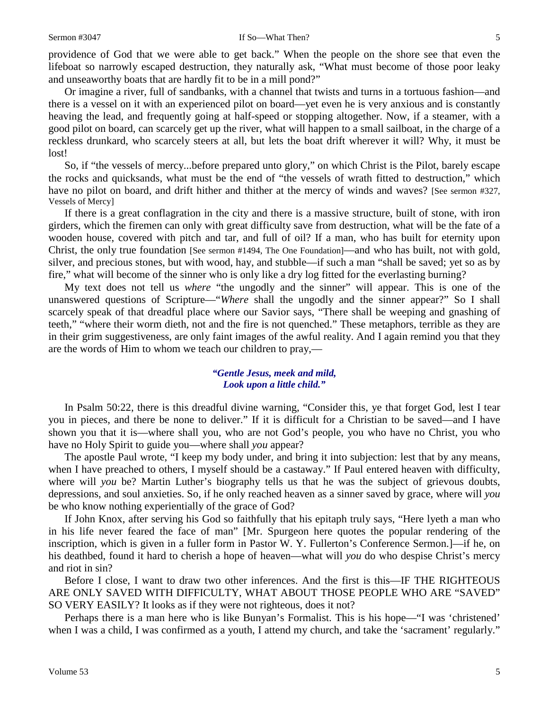providence of God that we were able to get back." When the people on the shore see that even the lifeboat so narrowly escaped destruction, they naturally ask, "What must become of those poor leaky and unseaworthy boats that are hardly fit to be in a mill pond?"

Or imagine a river, full of sandbanks, with a channel that twists and turns in a tortuous fashion—and there is a vessel on it with an experienced pilot on board—yet even he is very anxious and is constantly heaving the lead, and frequently going at half-speed or stopping altogether. Now, if a steamer, with a good pilot on board, can scarcely get up the river, what will happen to a small sailboat, in the charge of a reckless drunkard, who scarcely steers at all, but lets the boat drift wherever it will? Why, it must be lost!

So, if "the vessels of mercy...before prepared unto glory," on which Christ is the Pilot, barely escape the rocks and quicksands, what must be the end of "the vessels of wrath fitted to destruction," which have no pilot on board, and drift hither and thither at the mercy of winds and waves? [See sermon #327, Vessels of Mercy]

If there is a great conflagration in the city and there is a massive structure, built of stone, with iron girders, which the firemen can only with great difficulty save from destruction, what will be the fate of a wooden house, covered with pitch and tar, and full of oil? If a man, who has built for eternity upon Christ, the only true foundation [See sermon #1494, The One Foundation]—and who has built, not with gold, silver, and precious stones, but with wood, hay, and stubble—if such a man "shall be saved; yet so as by fire," what will become of the sinner who is only like a dry log fitted for the everlasting burning?

My text does not tell us *where* "the ungodly and the sinner" will appear. This is one of the unanswered questions of Scripture—"*Where* shall the ungodly and the sinner appear?" So I shall scarcely speak of that dreadful place where our Savior says, "There shall be weeping and gnashing of teeth," "where their worm dieth, not and the fire is not quenched." These metaphors, terrible as they are in their grim suggestiveness, are only faint images of the awful reality. And I again remind you that they are the words of Him to whom we teach our children to pray,—

## *"Gentle Jesus, meek and mild, Look upon a little child."*

In Psalm 50:22, there is this dreadful divine warning, "Consider this, ye that forget God, lest I tear you in pieces, and there be none to deliver." If it is difficult for a Christian to be saved—and I have shown you that it is—where shall you, who are not God's people, you who have no Christ, you who have no Holy Spirit to guide you—where shall *you* appear?

The apostle Paul wrote, "I keep my body under, and bring it into subjection: lest that by any means, when I have preached to others, I myself should be a castaway." If Paul entered heaven with difficulty, where will *you* be? Martin Luther's biography tells us that he was the subject of grievous doubts, depressions, and soul anxieties. So, if he only reached heaven as a sinner saved by grace, where will *you*  be who know nothing experientially of the grace of God?

If John Knox, after serving his God so faithfully that his epitaph truly says, "Here lyeth a man who in his life never feared the face of man" [Mr. Spurgeon here quotes the popular rendering of the inscription, which is given in a fuller form in Pastor W. Y. Fullerton's Conference Sermon.]—if he, on his deathbed, found it hard to cherish a hope of heaven—what will *you* do who despise Christ's mercy and riot in sin?

Before I close, I want to draw two other inferences. And the first is this—IF THE RIGHTEOUS ARE ONLY SAVED WITH DIFFICULTY, WHAT ABOUT THOSE PEOPLE WHO ARE "SAVED" SO VERY EASILY? It looks as if they were not righteous, does it not?

Perhaps there is a man here who is like Bunyan's Formalist. This is his hope—"I was 'christened' when I was a child, I was confirmed as a youth, I attend my church, and take the 'sacrament' regularly."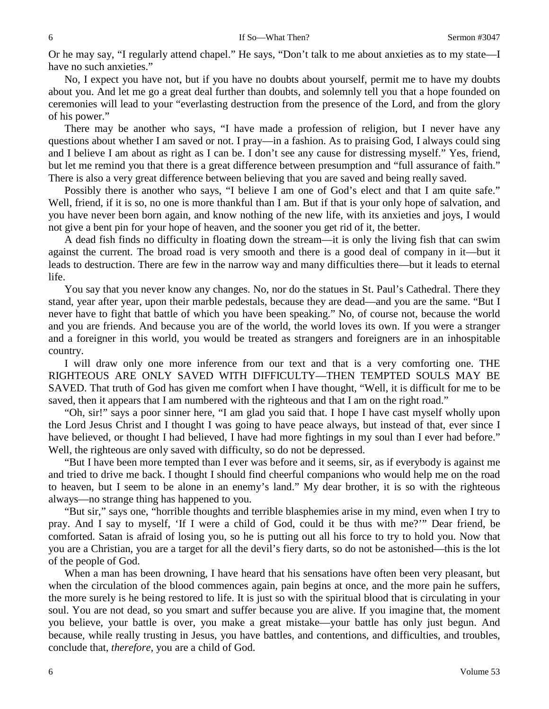Or he may say, "I regularly attend chapel." He says, "Don't talk to me about anxieties as to my state—I have no such anxieties."

No, I expect you have not, but if you have no doubts about yourself, permit me to have my doubts about you. And let me go a great deal further than doubts, and solemnly tell you that a hope founded on ceremonies will lead to your "everlasting destruction from the presence of the Lord, and from the glory of his power."

There may be another who says, "I have made a profession of religion, but I never have any questions about whether I am saved or not. I pray—in a fashion. As to praising God, I always could sing and I believe I am about as right as I can be. I don't see any cause for distressing myself." Yes, friend, but let me remind you that there is a great difference between presumption and "full assurance of faith." There is also a very great difference between believing that you are saved and being really saved.

Possibly there is another who says, "I believe I am one of God's elect and that I am quite safe." Well, friend, if it is so, no one is more thankful than I am. But if that is your only hope of salvation, and you have never been born again, and know nothing of the new life, with its anxieties and joys, I would not give a bent pin for your hope of heaven, and the sooner you get rid of it, the better.

A dead fish finds no difficulty in floating down the stream—it is only the living fish that can swim against the current. The broad road is very smooth and there is a good deal of company in it—but it leads to destruction. There are few in the narrow way and many difficulties there—but it leads to eternal life.

You say that you never know any changes. No, nor do the statues in St. Paul's Cathedral. There they stand, year after year, upon their marble pedestals, because they are dead—and you are the same. "But I never have to fight that battle of which you have been speaking." No, of course not, because the world and you are friends. And because you are of the world, the world loves its own. If you were a stranger and a foreigner in this world, you would be treated as strangers and foreigners are in an inhospitable country.

I will draw only one more inference from our text and that is a very comforting one. THE RIGHTEOUS ARE ONLY SAVED WITH DIFFICULTY—THEN TEMPTED SOULS MAY BE SAVED. That truth of God has given me comfort when I have thought, "Well, it is difficult for me to be saved, then it appears that I am numbered with the righteous and that I am on the right road."

"Oh, sir!" says a poor sinner here, "I am glad you said that. I hope I have cast myself wholly upon the Lord Jesus Christ and I thought I was going to have peace always, but instead of that, ever since I have believed, or thought I had believed, I have had more fightings in my soul than I ever had before." Well, the righteous are only saved with difficulty, so do not be depressed.

"But I have been more tempted than I ever was before and it seems, sir, as if everybody is against me and tried to drive me back. I thought I should find cheerful companions who would help me on the road to heaven, but I seem to be alone in an enemy's land." My dear brother, it is so with the righteous always—no strange thing has happened to you.

"But sir," says one, "horrible thoughts and terrible blasphemies arise in my mind, even when I try to pray. And I say to myself, 'If I were a child of God, could it be thus with me?'" Dear friend, be comforted. Satan is afraid of losing you, so he is putting out all his force to try to hold you. Now that you are a Christian, you are a target for all the devil's fiery darts, so do not be astonished—this is the lot of the people of God.

When a man has been drowning, I have heard that his sensations have often been very pleasant, but when the circulation of the blood commences again, pain begins at once, and the more pain he suffers, the more surely is he being restored to life. It is just so with the spiritual blood that is circulating in your soul. You are not dead, so you smart and suffer because you are alive. If you imagine that, the moment you believe, your battle is over, you make a great mistake—your battle has only just begun. And because, while really trusting in Jesus, you have battles, and contentions, and difficulties, and troubles, conclude that, *therefore,* you are a child of God.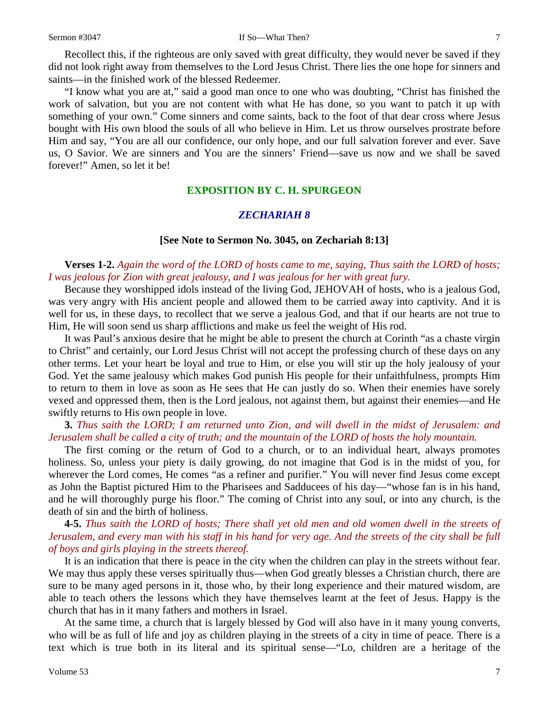#### Sermon #3047 **If So—What Then?** 7

Recollect this, if the righteous are only saved with great difficulty, they would never be saved if they did not look right away from themselves to the Lord Jesus Christ. There lies the one hope for sinners and saints—in the finished work of the blessed Redeemer.

"I know what you are at," said a good man once to one who was doubting, "Christ has finished the work of salvation, but you are not content with what He has done, so you want to patch it up with something of your own." Come sinners and come saints, back to the foot of that dear cross where Jesus bought with His own blood the souls of all who believe in Him. Let us throw ourselves prostrate before Him and say, "You are all our confidence, our only hope, and our full salvation forever and ever. Save us, O Savior. We are sinners and You are the sinners' Friend—save us now and we shall be saved forever!" Amen, so let it be!

## **EXPOSITION BY C. H. SPURGEON**

## *ZECHARIAH 8*

## **[See Note to Sermon No. 3045, on Zechariah 8:13]**

**Verses 1-2.** *Again the word of the LORD of hosts came to me, saying, Thus saith the LORD of hosts; I was jealous for Zion with great jealousy, and I was jealous for her with great fury.* 

Because they worshipped idols instead of the living God, JEHOVAH of hosts, who is a jealous God, was very angry with His ancient people and allowed them to be carried away into captivity. And it is well for us, in these days, to recollect that we serve a jealous God, and that if our hearts are not true to Him, He will soon send us sharp afflictions and make us feel the weight of His rod.

It was Paul's anxious desire that he might be able to present the church at Corinth "as a chaste virgin to Christ" and certainly, our Lord Jesus Christ will not accept the professing church of these days on any other terms. Let your heart be loyal and true to Him, or else you will stir up the holy jealousy of your God. Yet the same jealousy which makes God punish His people for their unfaithfulness, prompts Him to return to them in love as soon as He sees that He can justly do so. When their enemies have sorely vexed and oppressed them, then is the Lord jealous, not against them, but against their enemies—and He swiftly returns to His own people in love.

## **3.** *Thus saith the LORD; I am returned unto Zion, and will dwell in the midst of Jerusalem: and Jerusalem shall be called a city of truth; and the mountain of the LORD of hosts the holy mountain.*

The first coming or the return of God to a church, or to an individual heart, always promotes holiness. So, unless your piety is daily growing, do not imagine that God is in the midst of you, for wherever the Lord comes, He comes "as a refiner and purifier." You will never find Jesus come except as John the Baptist pictured Him to the Pharisees and Sadducees of his day—"whose fan is in his hand, and he will thoroughly purge his floor." The coming of Christ into any soul, or into any church, is the death of sin and the birth of holiness.

**4-5.** *Thus saith the LORD of hosts; There shall yet old men and old women dwell in the streets of Jerusalem, and every man with his staff in his hand for very age. And the streets of the city shall be full of boys and girls playing in the streets thereof.* 

It is an indication that there is peace in the city when the children can play in the streets without fear. We may thus apply these verses spiritually thus—when God greatly blesses a Christian church, there are sure to be many aged persons in it, those who, by their long experience and their matured wisdom, are able to teach others the lessons which they have themselves learnt at the feet of Jesus. Happy is the church that has in it many fathers and mothers in Israel.

At the same time, a church that is largely blessed by God will also have in it many young converts, who will be as full of life and joy as children playing in the streets of a city in time of peace. There is a text which is true both in its literal and its spiritual sense—"Lo, children are a heritage of the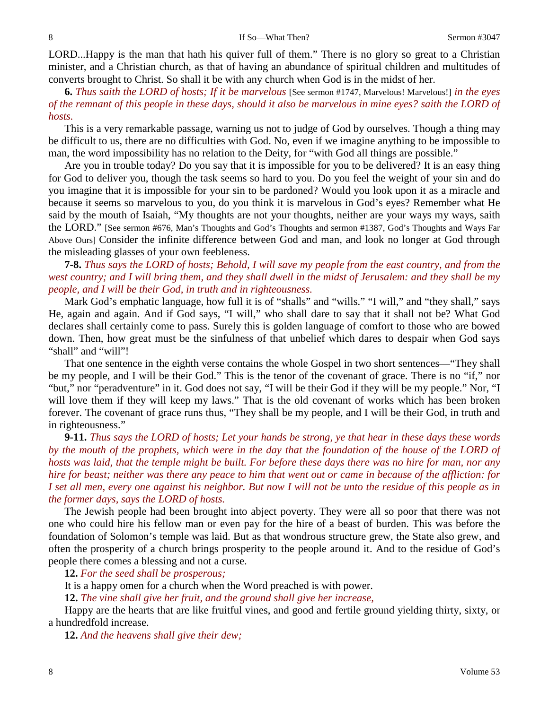LORD...Happy is the man that hath his quiver full of them." There is no glory so great to a Christian minister, and a Christian church, as that of having an abundance of spiritual children and multitudes of converts brought to Christ. So shall it be with any church when God is in the midst of her.

**6.** *Thus saith the LORD of hosts; If it be marvelous* [See sermon #1747, Marvelous! Marvelous!] *in the eyes of the remnant of this people in these days, should it also be marvelous in mine eyes? saith the LORD of hosts.* 

This is a very remarkable passage, warning us not to judge of God by ourselves. Though a thing may be difficult to us, there are no difficulties with God. No, even if we imagine anything to be impossible to man, the word impossibility has no relation to the Deity, for "with God all things are possible."

Are you in trouble today? Do you say that it is impossible for you to be delivered? It is an easy thing for God to deliver you, though the task seems so hard to you. Do you feel the weight of your sin and do you imagine that it is impossible for your sin to be pardoned? Would you look upon it as a miracle and because it seems so marvelous to you, do you think it is marvelous in God's eyes? Remember what He said by the mouth of Isaiah, "My thoughts are not your thoughts, neither are your ways my ways, saith the LORD." [See sermon #676, Man's Thoughts and God's Thoughts and sermon #1387, God's Thoughts and Ways Far Above Ours] Consider the infinite difference between God and man, and look no longer at God through the misleading glasses of your own feebleness.

**7-8.** *Thus says the LORD of hosts; Behold, I will save my people from the east country, and from the west country; and I will bring them, and they shall dwell in the midst of Jerusalem: and they shall be my people, and I will be their God, in truth and in righteousness.* 

Mark God's emphatic language, how full it is of "shalls" and "wills." "I will," and "they shall," says He, again and again. And if God says, "I will," who shall dare to say that it shall not be? What God declares shall certainly come to pass. Surely this is golden language of comfort to those who are bowed down. Then, how great must be the sinfulness of that unbelief which dares to despair when God says "shall" and "will"!

That one sentence in the eighth verse contains the whole Gospel in two short sentences—"They shall be my people, and I will be their God." This is the tenor of the covenant of grace. There is no "if," nor "but," nor "peradventure" in it. God does not say, "I will be their God if they will be my people." Nor, "I will love them if they will keep my laws." That is the old covenant of works which has been broken forever. The covenant of grace runs thus, "They shall be my people, and I will be their God, in truth and in righteousness."

**9-11.** *Thus says the LORD of hosts; Let your hands be strong, ye that hear in these days these words by the mouth of the prophets, which were in the day that the foundation of the house of the LORD of hosts was laid, that the temple might be built. For before these days there was no hire for man, nor any hire for beast; neither was there any peace to him that went out or came in because of the affliction: for I set all men, every one against his neighbor. But now I will not be unto the residue of this people as in the former days, says the LORD of hosts.* 

The Jewish people had been brought into abject poverty. They were all so poor that there was not one who could hire his fellow man or even pay for the hire of a beast of burden. This was before the foundation of Solomon's temple was laid. But as that wondrous structure grew, the State also grew, and often the prosperity of a church brings prosperity to the people around it. And to the residue of God's people there comes a blessing and not a curse.

**12.** *For the seed shall be prosperous;*

It is a happy omen for a church when the Word preached is with power.

**12.** *The vine shall give her fruit, and the ground shall give her increase,*

Happy are the hearts that are like fruitful vines, and good and fertile ground yielding thirty, sixty, or a hundredfold increase.

**12.** *And the heavens shall give their dew;*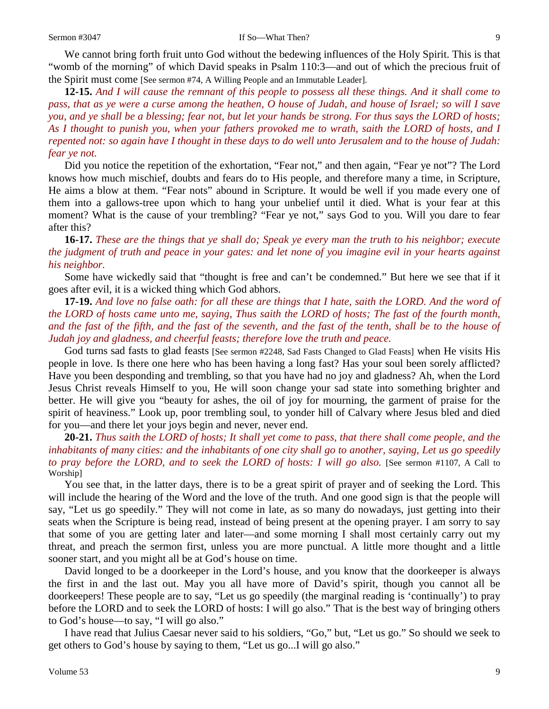We cannot bring forth fruit unto God without the bedewing influences of the Holy Spirit. This is that "womb of the morning" of which David speaks in Psalm 110:3—and out of which the precious fruit of the Spirit must come [See sermon #74, A Willing People and an Immutable Leader].

**12-15.** *And I will cause the remnant of this people to possess all these things. And it shall come to pass, that as ye were a curse among the heathen, O house of Judah, and house of Israel; so will I save you, and ye shall be a blessing; fear not, but let your hands be strong. For thus says the LORD of hosts; As I thought to punish you, when your fathers provoked me to wrath, saith the LORD of hosts, and I repented not: so again have I thought in these days to do well unto Jerusalem and to the house of Judah: fear ye not.* 

Did you notice the repetition of the exhortation, "Fear not," and then again, "Fear ye not"? The Lord knows how much mischief, doubts and fears do to His people, and therefore many a time, in Scripture, He aims a blow at them. "Fear nots" abound in Scripture. It would be well if you made every one of them into a gallows-tree upon which to hang your unbelief until it died. What is your fear at this moment? What is the cause of your trembling? "Fear ye not," says God to you. Will you dare to fear after this?

**16-17.** *These are the things that ye shall do; Speak ye every man the truth to his neighbor; execute the judgment of truth and peace in your gates: and let none of you imagine evil in your hearts against his neighbor.* 

Some have wickedly said that "thought is free and can't be condemned." But here we see that if it goes after evil, it is a wicked thing which God abhors.

**17-19.** *And love no false oath: for all these are things that I hate, saith the LORD. And the word of the LORD of hosts came unto me, saying, Thus saith the LORD of hosts; The fast of the fourth month, and the fast of the fifth, and the fast of the seventh, and the fast of the tenth, shall be to the house of Judah joy and gladness, and cheerful feasts; therefore love the truth and peace.* 

God turns sad fasts to glad feasts [See sermon #2248, Sad Fasts Changed to Glad Feasts] when He visits His people in love. Is there one here who has been having a long fast? Has your soul been sorely afflicted? Have you been desponding and trembling, so that you have had no joy and gladness? Ah, when the Lord Jesus Christ reveals Himself to you, He will soon change your sad state into something brighter and better. He will give you "beauty for ashes, the oil of joy for mourning, the garment of praise for the spirit of heaviness." Look up, poor trembling soul, to yonder hill of Calvary where Jesus bled and died for you—and there let your joys begin and never, never end.

**20-21.** *Thus saith the LORD of hosts; It shall yet come to pass, that there shall come people, and the inhabitants of many cities: and the inhabitants of one city shall go to another, saying, Let us go speedily*  to pray before the LORD, and to seek the LORD of hosts: I will go also. [See sermon #1107, A Call to Worship]

You see that, in the latter days, there is to be a great spirit of prayer and of seeking the Lord. This will include the hearing of the Word and the love of the truth. And one good sign is that the people will say, "Let us go speedily." They will not come in late, as so many do nowadays, just getting into their seats when the Scripture is being read, instead of being present at the opening prayer. I am sorry to say that some of you are getting later and later—and some morning I shall most certainly carry out my threat, and preach the sermon first, unless you are more punctual. A little more thought and a little sooner start, and you might all be at God's house on time.

David longed to be a doorkeeper in the Lord's house, and you know that the doorkeeper is always the first in and the last out. May you all have more of David's spirit, though you cannot all be doorkeepers! These people are to say, "Let us go speedily (the marginal reading is 'continually') to pray before the LORD and to seek the LORD of hosts: I will go also." That is the best way of bringing others to God's house—to say, "I will go also."

I have read that Julius Caesar never said to his soldiers, "Go," but, "Let us go." So should we seek to get others to God's house by saying to them, "Let us go...I will go also."